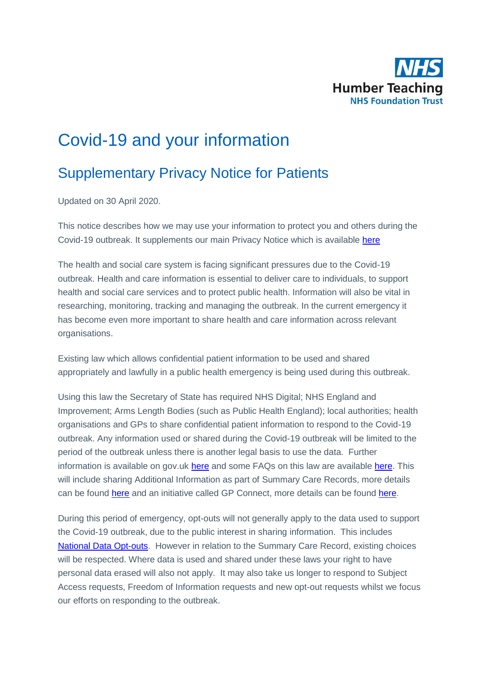

## Covid-19 and your information

## Supplementary Privacy Notice for Patients

Updated on 30 April 2020.

This notice describes how we may use your information to protect you and others during the Covid-19 outbreak. It supplements our main Privacy Notice which is available [here](https://www.humber.nhs.uk/data-protection.htm)

The health and social care system is facing significant pressures due to the Covid-19 outbreak. Health and care information is essential to deliver care to individuals, to support health and social care services and to protect public health. Information will also be vital in researching, monitoring, tracking and managing the outbreak. In the current emergency it has become even more important to share health and care information across relevant organisations.

Existing law which allows confidential patient information to be used and shared appropriately and lawfully in a public health emergency is being used during this outbreak.

Using this law the Secretary of State has required NHS Digital; NHS England and Improvement; Arms Length Bodies (such as Public Health England); local authorities; health organisations and GPs to share confidential patient information to respond to the Covid-19 outbreak. Any information used or shared during the Covid-19 outbreak will be limited to the period of the outbreak unless there is another legal basis to use the data. Further information is available on gov.uk [here](https://www.gov.uk/government/publications/coronavirus-covid-19-notification-of-data-controllers-to-share-information?utm_source=d05aa30e-95d2-48e3-93e0-0a696c35bd3c&utm_medium=email&utm_campaign=govuk-notifications&utm_content=immediate) and some FAQs on this law are available [here.](https://www.nhsx.nhs.uk/covid-19-response/data-and-information-governance/information-governance/copi-notice-frequently-asked-questions/) This will include sharing Additional Information as part of Summary Care Records, more details can be found [here](https://digital.nhs.uk/services/summary-care-records-scr/scr-coronavirus-covid-19-supplementary-privacy-notice) and an initiative called GP Connect, more details can be found [here.](here)

During this period of emergency, opt-outs will not generally apply to the data used to support the Covid-19 outbreak, due to the public interest in sharing information. This includes [National Data Opt-outs.](https://www.nhs.uk/your-nhs-data-matters/) However in relation to the Summary Care Record, existing choices will be respected. Where data is used and shared under these laws your right to have personal data erased will also not apply. It may also take us longer to respond to Subject Access requests, Freedom of Information requests and new opt-out requests whilst we focus our efforts on responding to the outbreak.